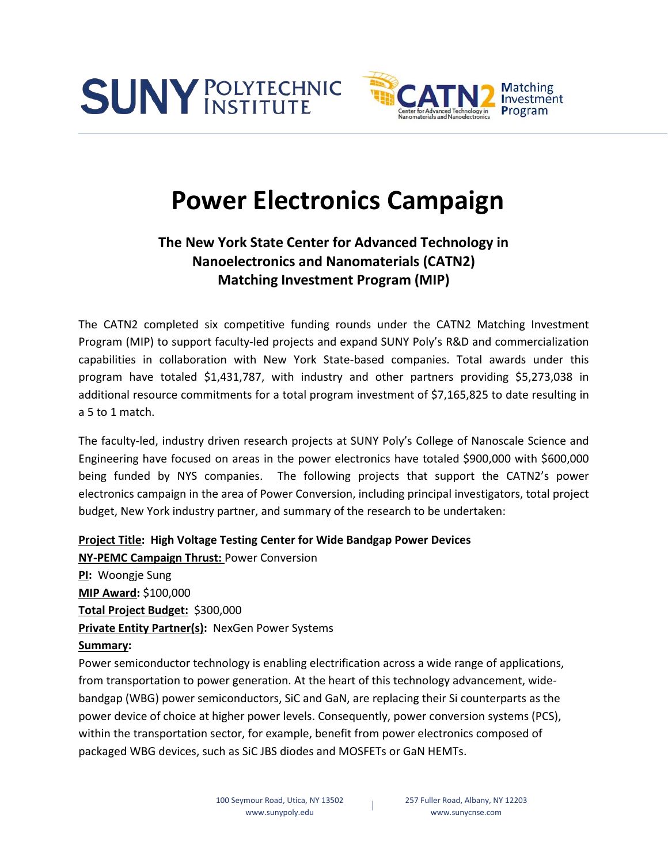



# **Power Electronics Campaign**

# **The New York State Center for Advanced Technology in Nanoelectronics and Nanomaterials (CATN2) Matching Investment Program (MIP)**

The CATN2 completed six competitive funding rounds under the CATN2 Matching Investment Program (MIP) to support faculty-led projects and expand SUNY Poly's R&D and commercialization capabilities in collaboration with New York State-based companies. Total awards under this program have totaled \$1,431,787, with industry and other partners providing \$5,273,038 in additional resource commitments for a total program investment of \$7,165,825 to date resulting in a 5 to 1 match.

The faculty-led, industry driven research projects at SUNY Poly's College of Nanoscale Science and Engineering have focused on areas in the power electronics have totaled \$900,000 with \$600,000 being funded by NYS companies. The following projects that support the CATN2's power electronics campaign in the area of Power Conversion, including principal investigators, total project budget, New York industry partner, and summary of the research to be undertaken:

**Project Title: High Voltage Testing Center for Wide Bandgap Power Devices**

**NY-PEMC Campaign Thrust:** Power Conversion **PI:** Woongje Sung **MIP Award:** \$100,000 **Total Project Budget:** \$300,000 **Private Entity Partner(s):** NexGen Power Systems **Summary:**

Power semiconductor technology is enabling electrification across a wide range of applications, from transportation to power generation. At the heart of this technology advancement, widebandgap (WBG) power semiconductors, SiC and GaN, are replacing their Si counterparts as the power device of choice at higher power levels. Consequently, power conversion systems (PCS), within the transportation sector, for example, benefit from power electronics composed of packaged WBG devices, such as SiC JBS diodes and MOSFETs or GaN HEMTs.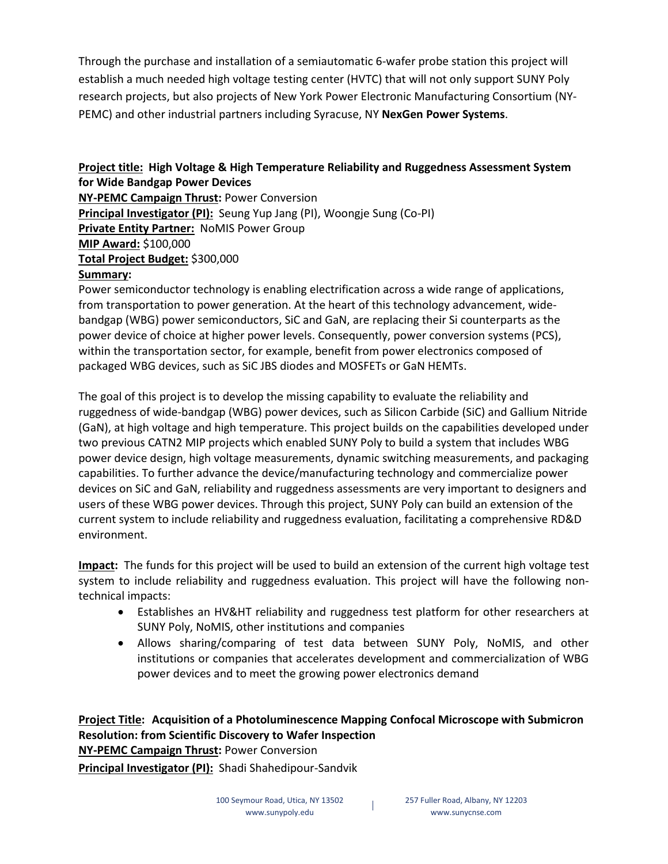Through the purchase and installation of a semiautomatic 6-wafer probe station this project will establish a much needed high voltage testing center (HVTC) that will not only support SUNY Poly research projects, but also projects of New York Power Electronic Manufacturing Consortium (NY-PEMC) and other industrial partners including Syracuse, NY **NexGen Power Systems**.

#### **Project title: High Voltage & High Temperature Reliability and Ruggedness Assessment System for Wide Bandgap Power Devices**

**NY-PEMC Campaign Thrust:** Power Conversion **Principal Investigator (PI):** Seung Yup Jang (PI), Woongje Sung (Co-PI) **Private Entity Partner:** NoMIS Power Group **MIP Award:** \$100,000 **Total Project Budget:** \$300,000 **Summary:** 

Power semiconductor technology is enabling electrification across a wide range of applications, from transportation to power generation. At the heart of this technology advancement, widebandgap (WBG) power semiconductors, SiC and GaN, are replacing their Si counterparts as the power device of choice at higher power levels. Consequently, power conversion systems (PCS), within the transportation sector, for example, benefit from power electronics composed of packaged WBG devices, such as SiC JBS diodes and MOSFETs or GaN HEMTs.

The goal of this project is to develop the missing capability to evaluate the reliability and ruggedness of wide-bandgap (WBG) power devices, such as Silicon Carbide (SiC) and Gallium Nitride (GaN), at high voltage and high temperature. This project builds on the capabilities developed under two previous CATN2 MIP projects which enabled SUNY Poly to build a system that includes WBG power device design, high voltage measurements, dynamic switching measurements, and packaging capabilities. To further advance the device/manufacturing technology and commercialize power devices on SiC and GaN, reliability and ruggedness assessments are very important to designers and users of these WBG power devices. Through this project, SUNY Poly can build an extension of the current system to include reliability and ruggedness evaluation, facilitating a comprehensive RD&D environment.

**Impact:** The funds for this project will be used to build an extension of the current high voltage test system to include reliability and ruggedness evaluation. This project will have the following nontechnical impacts:

- Establishes an HV&HT reliability and ruggedness test platform for other researchers at SUNY Poly, NoMIS, other institutions and companies
- Allows sharing/comparing of test data between SUNY Poly, NoMIS, and other institutions or companies that accelerates development and commercialization of WBG power devices and to meet the growing power electronics demand

#### **Project Title: Acquisition of a Photoluminescence Mapping Confocal Microscope with Submicron Resolution: from Scientific Discovery to Wafer Inspection NY-PEMC Campaign Thrust:** Power Conversion

**Principal Investigator (PI):** Shadi Shahedipour-Sandvik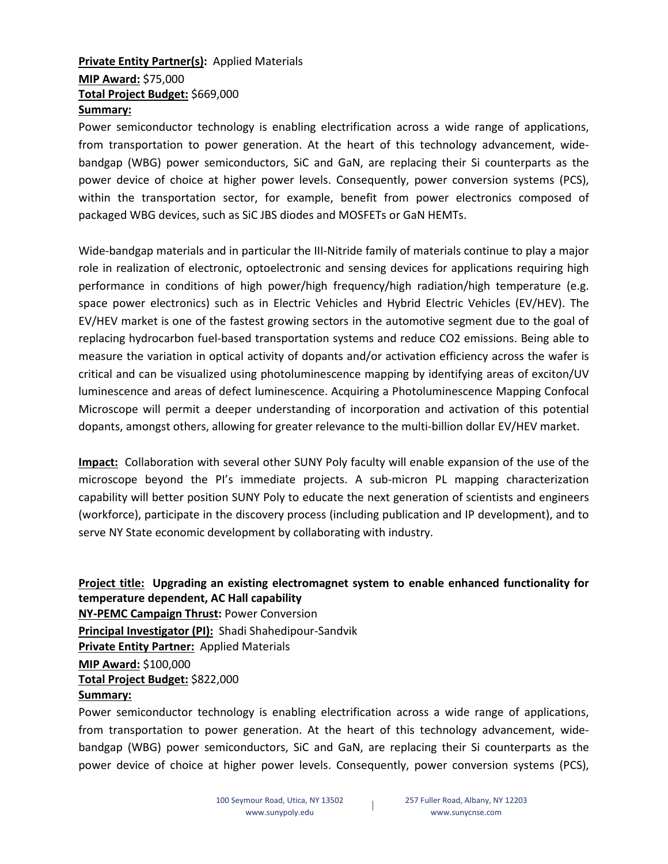### **Private Entity Partner(s):** Applied Materials

## **MIP Award:** \$75,000 **Total Project Budget:** \$669,000

#### **Summary:**

Power semiconductor technology is enabling electrification across a wide range of applications, from transportation to power generation. At the heart of this technology advancement, widebandgap (WBG) power semiconductors, SiC and GaN, are replacing their Si counterparts as the power device of choice at higher power levels. Consequently, power conversion systems (PCS), within the transportation sector, for example, benefit from power electronics composed of packaged WBG devices, such as SiC JBS diodes and MOSFETs or GaN HEMTs.

Wide-bandgap materials and in particular the III-Nitride family of materials continue to play a major role in realization of electronic, optoelectronic and sensing devices for applications requiring high performance in conditions of high power/high frequency/high radiation/high temperature (e.g. space power electronics) such as in Electric Vehicles and Hybrid Electric Vehicles (EV/HEV). The EV/HEV market is one of the fastest growing sectors in the automotive segment due to the goal of replacing hydrocarbon fuel-based transportation systems and reduce CO2 emissions. Being able to measure the variation in optical activity of dopants and/or activation efficiency across the wafer is critical and can be visualized using photoluminescence mapping by identifying areas of exciton/UV luminescence and areas of defect luminescence. Acquiring a Photoluminescence Mapping Confocal Microscope will permit a deeper understanding of incorporation and activation of this potential dopants, amongst others, allowing for greater relevance to the multi-billion dollar EV/HEV market.

**Impact:** Collaboration with several other SUNY Poly faculty will enable expansion of the use of the microscope beyond the PI's immediate projects. A sub-micron PL mapping characterization capability will better position SUNY Poly to educate the next generation of scientists and engineers (workforce), participate in the discovery process (including publication and IP development), and to serve NY State economic development by collaborating with industry.

#### **Project title: Upgrading an existing electromagnet system to enable enhanced functionality for temperature dependent, AC Hall capability NY-PEMC Campaign Thrust:** Power Conversion **Principal Investigator (PI):** Shadi Shahedipour-Sandvik **Private Entity Partner:** Applied Materials **MIP Award:** \$100,000 **Total Project Budget:** \$822,000 **Summary:**

Power semiconductor technology is enabling electrification across a wide range of applications, from transportation to power generation. At the heart of this technology advancement, widebandgap (WBG) power semiconductors, SiC and GaN, are replacing their Si counterparts as the power device of choice at higher power levels. Consequently, power conversion systems (PCS),